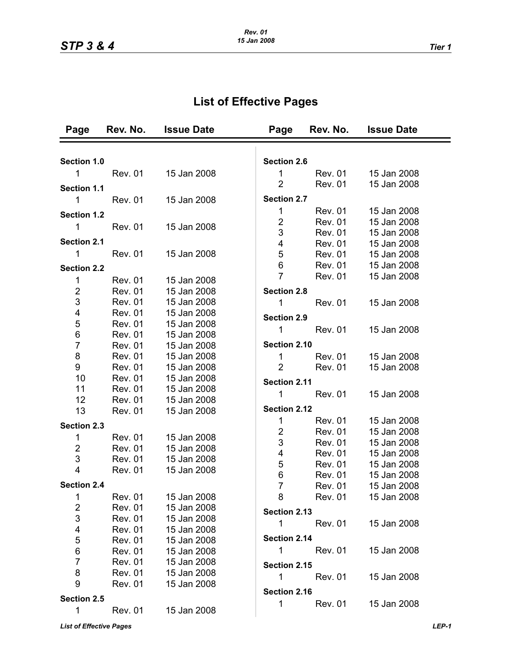## **List of Effective Pages**

| Page                         | Rev. No.                         | <b>Issue Date</b>          | Page                      | Rev. No.           | <b>Issue Date</b> |  |  |
|------------------------------|----------------------------------|----------------------------|---------------------------|--------------------|-------------------|--|--|
|                              |                                  |                            |                           |                    |                   |  |  |
| Section 1.0                  |                                  |                            |                           | <b>Section 2.6</b> |                   |  |  |
| 1                            | <b>Rev. 01</b>                   | 15 Jan 2008                | 1                         | <b>Rev. 01</b>     | 15 Jan 2008       |  |  |
| Section 1.1                  |                                  |                            | $\overline{2}$            | <b>Rev. 01</b>     | 15 Jan 2008       |  |  |
| $\mathbf{1}$                 | <b>Rev. 01</b>                   | 15 Jan 2008                |                           | <b>Section 2.7</b> |                   |  |  |
| <b>Section 1.2</b>           |                                  |                            | 1                         | <b>Rev. 01</b>     | 15 Jan 2008       |  |  |
| 1                            | <b>Rev. 01</b>                   | 15 Jan 2008                | $\overline{2}$            | <b>Rev. 01</b>     | 15 Jan 2008       |  |  |
|                              |                                  |                            | $\ensuremath{\mathsf{3}}$ | <b>Rev. 01</b>     | 15 Jan 2008       |  |  |
| <b>Section 2.1</b>           |                                  |                            | 4                         | <b>Rev. 01</b>     | 15 Jan 2008       |  |  |
| 1                            | <b>Rev. 01</b>                   | 15 Jan 2008                | $\mathbf 5$               | <b>Rev. 01</b>     | 15 Jan 2008       |  |  |
| <b>Section 2.2</b>           |                                  |                            | $\,6\,$                   | <b>Rev. 01</b>     | 15 Jan 2008       |  |  |
| 1                            | <b>Rev. 01</b>                   | 15 Jan 2008                | $\overline{7}$            | <b>Rev. 01</b>     | 15 Jan 2008       |  |  |
| $\overline{\mathbf{c}}$      | <b>Rev. 01</b>                   | 15 Jan 2008                | <b>Section 2.8</b>        |                    |                   |  |  |
| $\mathsf 3$                  | <b>Rev. 01</b>                   | 15 Jan 2008                | 1                         | <b>Rev. 01</b>     | 15 Jan 2008       |  |  |
| $\overline{\mathbf{4}}$      | <b>Rev. 01</b>                   | 15 Jan 2008                | <b>Section 2.9</b>        |                    |                   |  |  |
| 5                            | <b>Rev. 01</b>                   | 15 Jan 2008                | $\mathbf{1}$              | <b>Rev. 01</b>     |                   |  |  |
| $\,6$                        | <b>Rev. 01</b>                   | 15 Jan 2008                |                           |                    | 15 Jan 2008       |  |  |
| $\overline{7}$               | <b>Rev. 01</b>                   | 15 Jan 2008                | Section 2.10              |                    |                   |  |  |
| 8                            | <b>Rev. 01</b>                   | 15 Jan 2008                | 1                         | <b>Rev. 01</b>     | 15 Jan 2008       |  |  |
| 9                            | <b>Rev. 01</b>                   | 15 Jan 2008                | $\overline{2}$            | <b>Rev. 01</b>     | 15 Jan 2008       |  |  |
| 10                           | <b>Rev. 01</b>                   | 15 Jan 2008                |                           | Section 2.11       |                   |  |  |
| 11                           | <b>Rev. 01</b>                   | 15 Jan 2008                | 1                         | <b>Rev. 01</b>     | 15 Jan 2008       |  |  |
| 12                           | <b>Rev. 01</b>                   | 15 Jan 2008                |                           |                    |                   |  |  |
| 13                           | <b>Rev. 01</b>                   | 15 Jan 2008                | Section 2.12              |                    |                   |  |  |
| <b>Section 2.3</b>           |                                  |                            | 1                         | <b>Rev. 01</b>     | 15 Jan 2008       |  |  |
| 1                            | <b>Rev. 01</b>                   | 15 Jan 2008                | $\overline{2}$            | <b>Rev. 01</b>     | 15 Jan 2008       |  |  |
| $\overline{c}$               | <b>Rev. 01</b>                   | 15 Jan 2008                | $\mathfrak{S}$            | <b>Rev. 01</b>     | 15 Jan 2008       |  |  |
| 3                            | <b>Rev. 01</b>                   | 15 Jan 2008                | 4                         | <b>Rev. 01</b>     | 15 Jan 2008       |  |  |
| $\overline{\mathbf{4}}$      | <b>Rev. 01</b>                   | 15 Jan 2008                | 5                         | <b>Rev. 01</b>     | 15 Jan 2008       |  |  |
| <b>Section 2.4</b>           |                                  |                            | $\,6$<br>$\overline{7}$   | <b>Rev. 01</b>     | 15 Jan 2008       |  |  |
| 1                            |                                  |                            | 8                         | <b>Rev. 01</b>     | 15 Jan 2008       |  |  |
|                              | <b>Rev. 01</b><br><b>Rev. 01</b> | 15 Jan 2008                |                           | <b>Rev. 01</b>     | 15 Jan 2008       |  |  |
| $\overline{\mathbf{c}}$<br>3 | <b>Rev. 01</b>                   | 15 Jan 2008<br>15 Jan 2008 | Section 2.13              |                    |                   |  |  |
| 4                            | <b>Rev. 01</b>                   | 15 Jan 2008                | 1                         | <b>Rev. 01</b>     | 15 Jan 2008       |  |  |
| 5                            | <b>Rev. 01</b>                   | 15 Jan 2008                | Section 2.14              |                    |                   |  |  |
| $\,$ 6 $\,$                  | <b>Rev. 01</b>                   | 15 Jan 2008                | $\mathbf{1}$              | <b>Rev. 01</b>     | 15 Jan 2008       |  |  |
| $\overline{7}$               | <b>Rev. 01</b>                   | 15 Jan 2008                |                           |                    |                   |  |  |
| 8                            | <b>Rev. 01</b>                   | 15 Jan 2008                | Section 2.15              |                    |                   |  |  |
| 9                            | <b>Rev. 01</b>                   | 15 Jan 2008                | 1                         | <b>Rev. 01</b>     | 15 Jan 2008       |  |  |
|                              |                                  |                            |                           | Section 2.16       |                   |  |  |
| <b>Section 2.5</b>           |                                  |                            | 1                         | <b>Rev. 01</b>     | 15 Jan 2008       |  |  |
| 1                            | <b>Rev. 01</b>                   | 15 Jan 2008                |                           |                    |                   |  |  |